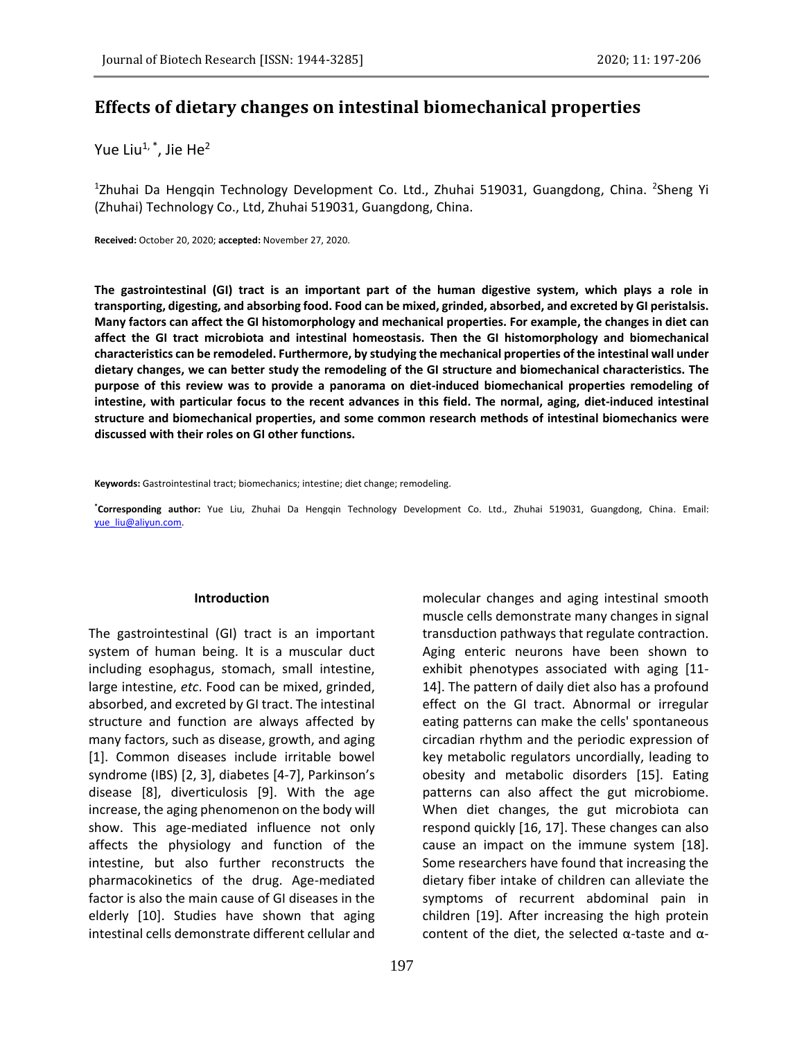# **Effects of dietary changes on intestinal biomechanical properties**

Yue Liu<sup>1, \*</sup>, Jie He<sup>2</sup>

<sup>1</sup>Zhuhai Da Hengqin Technology Development Co. Ltd., Zhuhai 519031, Guangdong, China. <sup>2</sup>Sheng Yi (Zhuhai) Technology Co., Ltd, Zhuhai 519031, Guangdong, China.

**Received:** October 20, 2020; **accepted:** November 27, 2020.

**The gastrointestinal (GI) tract is an important part of the human digestive system, which plays a role in transporting, digesting, and absorbing food. Food can be mixed, grinded, absorbed, and excreted by GI peristalsis. Many factors can affect the GI histomorphology and mechanical properties. For example, the changes in diet can affect the GI tract microbiota and intestinal homeostasis. Then the GI histomorphology and biomechanical characteristics can be remodeled. Furthermore, by studying the mechanical properties of the intestinal wall under dietary changes, we can better study the remodeling of the GI structure and biomechanical characteristics. The purpose of this review was to provide a panorama on diet-induced biomechanical properties remodeling of intestine, with particular focus to the recent advances in this field. The normal, aging, diet-induced intestinal structure and biomechanical properties, and some common research methods of intestinal biomechanics were discussed with their roles on GI other functions.**

**Keywords:** Gastrointestinal tract; biomechanics; intestine; diet change; remodeling.

**\*Corresponding author:** Yue Liu, Zhuhai Da Hengqin Technology Development Co. Ltd., Zhuhai 519031, Guangdong, China. Email: [yue\\_liu@aliyun.com.](mailto:yue_liu@aliyun.com) 

#### **Introduction**

The gastrointestinal (GI) tract is an important system of human being. It is a muscular duct including esophagus, stomach, small intestine, large intestine, *etc*. Food can be mixed, grinded, absorbed, and excreted by GI tract. The intestinal structure and function are always affected by many factors, such as disease, growth, and aging [1]. Common diseases include irritable bowel syndrome (IBS) [2, 3], diabetes [4-7], Parkinson's disease [8], diverticulosis [9]. With the age increase, the aging phenomenon on the body will show. This age-mediated influence not only affects the physiology and function of the intestine, but also further reconstructs the pharmacokinetics of the drug. Age-mediated factor is also the main cause of GI diseases in the elderly [10]. Studies have shown that aging intestinal cells demonstrate different cellular and

molecular changes and aging intestinal smooth muscle cells demonstrate many changes in signal transduction pathways that regulate contraction. Aging enteric neurons have been shown to exhibit phenotypes associated with aging [11- 14]. The pattern of daily diet also has a profound effect on the GI tract. Abnormal or irregular eating patterns can make the cells' spontaneous circadian rhythm and the periodic expression of key metabolic regulators uncordially, leading to obesity and metabolic disorders [15]. Eating patterns can also affect the gut microbiome. When diet changes, the gut microbiota can respond quickly [16, 17]. These changes can also cause an impact on the immune system [18]. Some researchers have found that increasing the dietary fiber intake of children can alleviate the symptoms of recurrent abdominal pain in children [19]. After increasing the high protein content of the diet, the selected  $\alpha$ -taste and  $\alpha$ -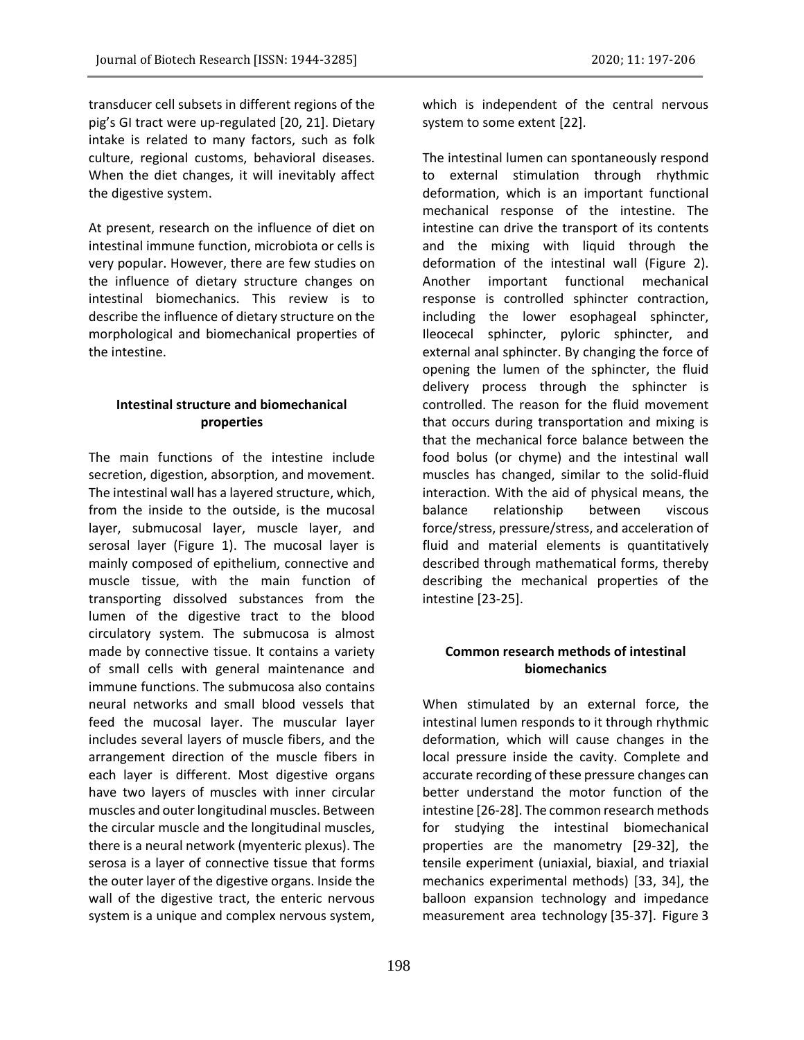transducer cell subsets in different regions of the pig's GI tract were up-regulated [20, 21]. Dietary intake is related to many factors, such as folk culture, regional customs, behavioral diseases. When the diet changes, it will inevitably affect the digestive system.

At present, research on the influence of diet on intestinal immune function, microbiota or cells is very popular. However, there are few studies on the influence of dietary structure changes on intestinal biomechanics. This review is to describe the influence of dietary structure on the morphological and biomechanical properties of the intestine.

# **Intestinal structure and biomechanical properties**

The main functions of the intestine include secretion, digestion, absorption, and movement. The intestinal wall has a layered structure, which, from the inside to the outside, is the mucosal layer, submucosal layer, muscle layer, and serosal layer (Figure 1). The mucosal layer is mainly composed of epithelium, connective and muscle tissue, with the main function of transporting dissolved substances from the lumen of the digestive tract to the blood circulatory system. The submucosa is almost made by connective tissue. It contains a variety of small cells with general maintenance and immune functions. The submucosa also contains neural networks and small blood vessels that feed the mucosal layer. The muscular layer includes several layers of muscle fibers, and the arrangement direction of the muscle fibers in each layer is different. Most digestive organs have two layers of muscles with inner circular muscles and outer longitudinal muscles. Between the circular muscle and the longitudinal muscles, there is a neural network (myenteric plexus). The serosa is a layer of connective tissue that forms the outer layer of the digestive organs. Inside the wall of the digestive tract, the enteric nervous system is a unique and complex nervous system, which is independent of the central nervous system to some extent [22].

The intestinal lumen can spontaneously respond to external stimulation through rhythmic deformation, which is an important functional mechanical response of the intestine. The intestine can drive the transport of its contents and the mixing with liquid through the deformation of the intestinal wall (Figure 2). Another important functional mechanical response is controlled sphincter contraction, including the lower esophageal sphincter, Ileocecal sphincter, pyloric sphincter, and external anal sphincter. By changing the force of opening the lumen of the sphincter, the fluid delivery process through the sphincter is controlled. The reason for the fluid movement that occurs during transportation and mixing is that the mechanical force balance between the food bolus (or chyme) and the intestinal wall muscles has changed, similar to the solid-fluid interaction. With the aid of physical means, the balance relationship between viscous force/stress, pressure/stress, and acceleration of fluid and material elements is quantitatively described through mathematical forms, thereby describing the mechanical properties of the intestine [23-25].

# **Common research methods of intestinal biomechanics**

When stimulated by an external force, the intestinal lumen responds to it through rhythmic deformation, which will cause changes in the local pressure inside the cavity. Complete and accurate recording of these pressure changes can better understand the motor function of the intestine [26-28]. The common research methods for studying the intestinal biomechanical properties are the manometry [29-32], the tensile experiment (uniaxial, biaxial, and triaxial mechanics experimental methods) [33, 34], the balloon expansion technology and impedance measurement area technology [35-37]. Figure 3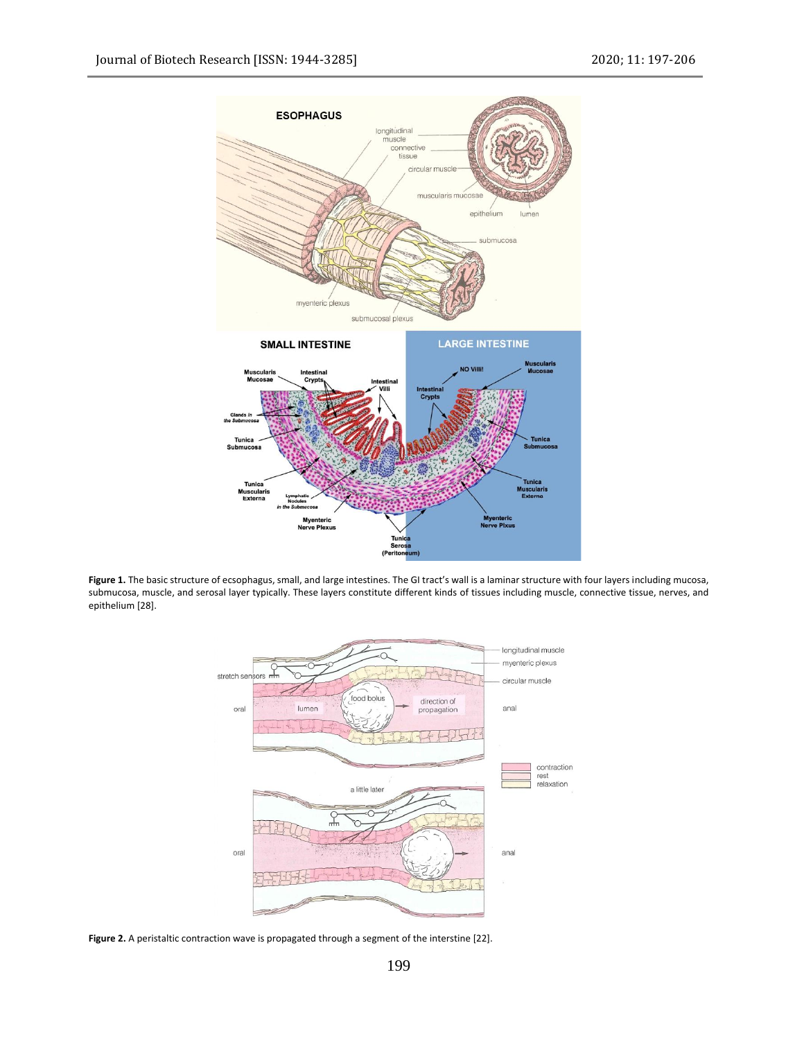

**Figure 1.** The basic structure of ecsophagus, small, and large intestines. The GI tract's wall is a laminar structure with four layers including mucosa, submucosa, muscle, and serosal layer typically. These layers constitute different kinds of tissues including muscle, connective tissue, nerves, and epithelium [28].



**Figure 2.** A peristaltic contraction wave is propagated through a segment of the interstine [22].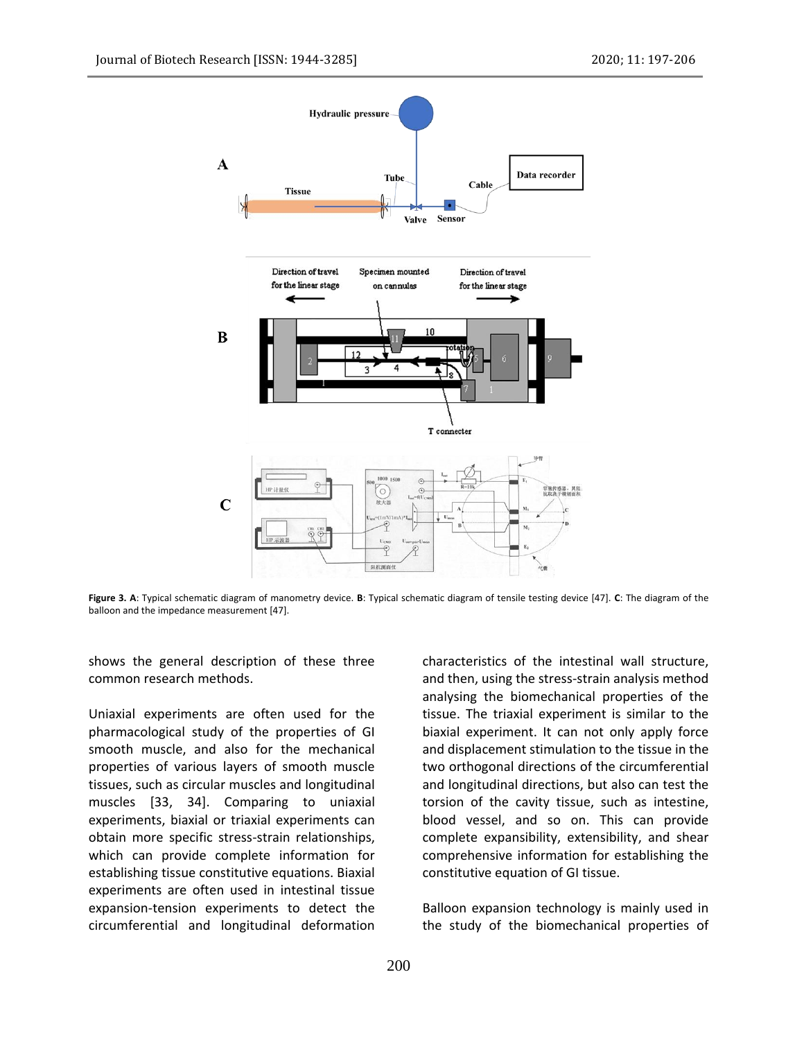

**Figure 3. A**: Typical schematic diagram of manometry device. **B**: Typical schematic diagram of tensile testing device [47]. **C**: The diagram of the balloon and the impedance measurement [47].

shows the general description of these three common research methods.

Uniaxial experiments are often used for the pharmacological study of the properties of GI smooth muscle, and also for the mechanical properties of various layers of smooth muscle tissues, such as circular muscles and longitudinal muscles [33, 34]. Comparing to uniaxial experiments, biaxial or triaxial experiments can obtain more specific stress-strain relationships, which can provide complete information for establishing tissue constitutive equations. Biaxial experiments are often used in intestinal tissue expansion-tension experiments to detect the circumferential and longitudinal deformation characteristics of the intestinal wall structure, and then, using the stress-strain analysis method analysing the biomechanical properties of the tissue. The triaxial experiment is similar to the biaxial experiment. It can not only apply force and displacement stimulation to the tissue in the two orthogonal directions of the circumferential and longitudinal directions, but also can test the torsion of the cavity tissue, such as intestine, blood vessel, and so on. This can provide complete expansibility, extensibility, and shear comprehensive information for establishing the constitutive equation of GI tissue.

Balloon expansion technology is mainly used in the study of the biomechanical properties of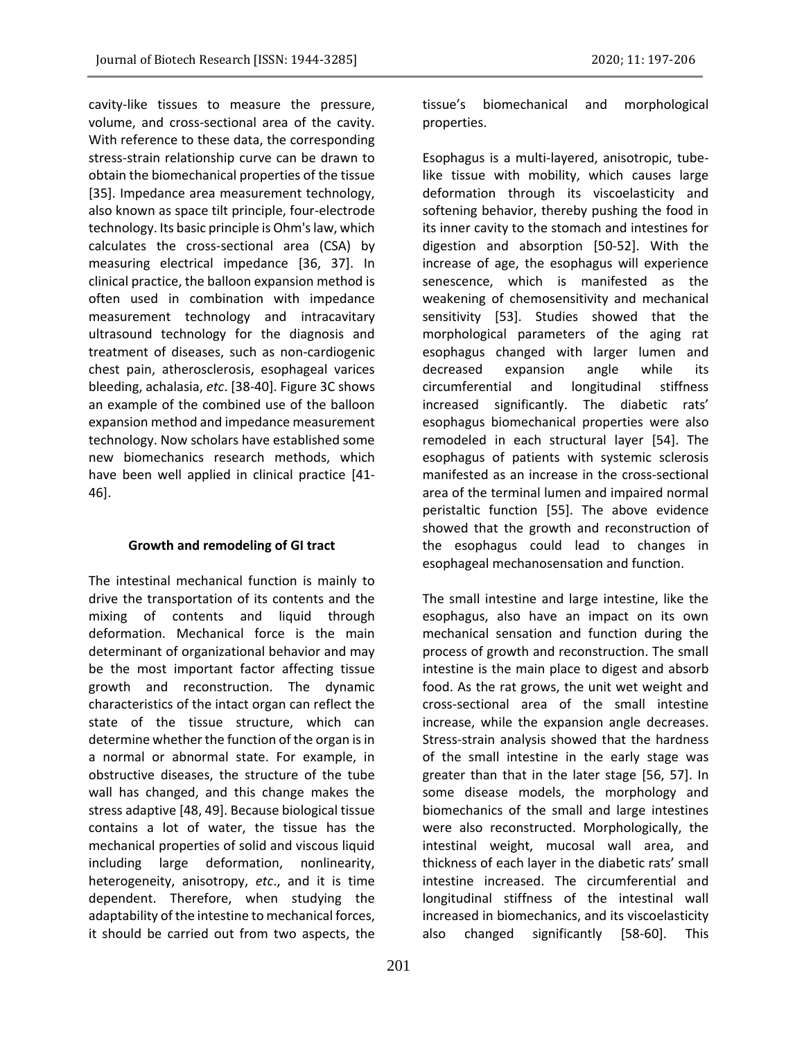cavity-like tissues to measure the pressure, volume, and cross-sectional area of the cavity. With reference to these data, the corresponding stress-strain relationship curve can be drawn to obtain the biomechanical properties of the tissue [35]. Impedance area measurement technology, also known as space tilt principle, four-electrode technology. Its basic principle is Ohm's law, which calculates the cross-sectional area (CSA) by measuring electrical impedance [36, 37]. In clinical practice, the balloon expansion method is often used in combination with impedance measurement technology and intracavitary ultrasound technology for the diagnosis and treatment of diseases, such as non-cardiogenic chest pain, atherosclerosis, esophageal varices bleeding, achalasia, *etc*. [38-40]. Figure 3C shows an example of the combined use of the balloon expansion method and impedance measurement technology. Now scholars have established some new biomechanics research methods, which have been well applied in clinical practice [41- 46].

# **Growth and remodeling of GI tract**

The intestinal mechanical function is mainly to drive the transportation of its contents and the mixing of contents and liquid through deformation. Mechanical force is the main determinant of organizational behavior and may be the most important factor affecting tissue growth and reconstruction. The dynamic characteristics of the intact organ can reflect the state of the tissue structure, which can determine whether the function of the organ is in a normal or abnormal state. For example, in obstructive diseases, the structure of the tube wall has changed, and this change makes the stress adaptive [48, 49]. Because biological tissue contains a lot of water, the tissue has the mechanical properties of solid and viscous liquid including large deformation, nonlinearity, heterogeneity, anisotropy, *etc*., and it is time dependent. Therefore, when studying the adaptability of the intestine to mechanical forces, it should be carried out from two aspects, the

tissue's biomechanical and morphological properties.

Esophagus is a multi-layered, anisotropic, tubelike tissue with mobility, which causes large deformation through its viscoelasticity and softening behavior, thereby pushing the food in its inner cavity to the stomach and intestines for digestion and absorption [50-52]. With the increase of age, the esophagus will experience senescence, which is manifested as the weakening of chemosensitivity and mechanical sensitivity [53]. Studies showed that the morphological parameters of the aging rat esophagus changed with larger lumen and decreased expansion angle while its circumferential and longitudinal stiffness increased significantly. The diabetic rats' esophagus biomechanical properties were also remodeled in each structural layer [54]. The esophagus of patients with systemic sclerosis manifested as an increase in the cross-sectional area of the terminal lumen and impaired normal peristaltic function [55]. The above evidence showed that the growth and reconstruction of the esophagus could lead to changes in esophageal mechanosensation and function.

The small intestine and large intestine, like the esophagus, also have an impact on its own mechanical sensation and function during the process of growth and reconstruction. The small intestine is the main place to digest and absorb food. As the rat grows, the unit wet weight and cross-sectional area of the small intestine increase, while the expansion angle decreases. Stress-strain analysis showed that the hardness of the small intestine in the early stage was greater than that in the later stage [56, 57]. In some disease models, the morphology and biomechanics of the small and large intestines were also reconstructed. Morphologically, the intestinal weight, mucosal wall area, and thickness of each layer in the diabetic rats' small intestine increased. The circumferential and longitudinal stiffness of the intestinal wall increased in biomechanics, and its viscoelasticity also changed significantly [58-60]. This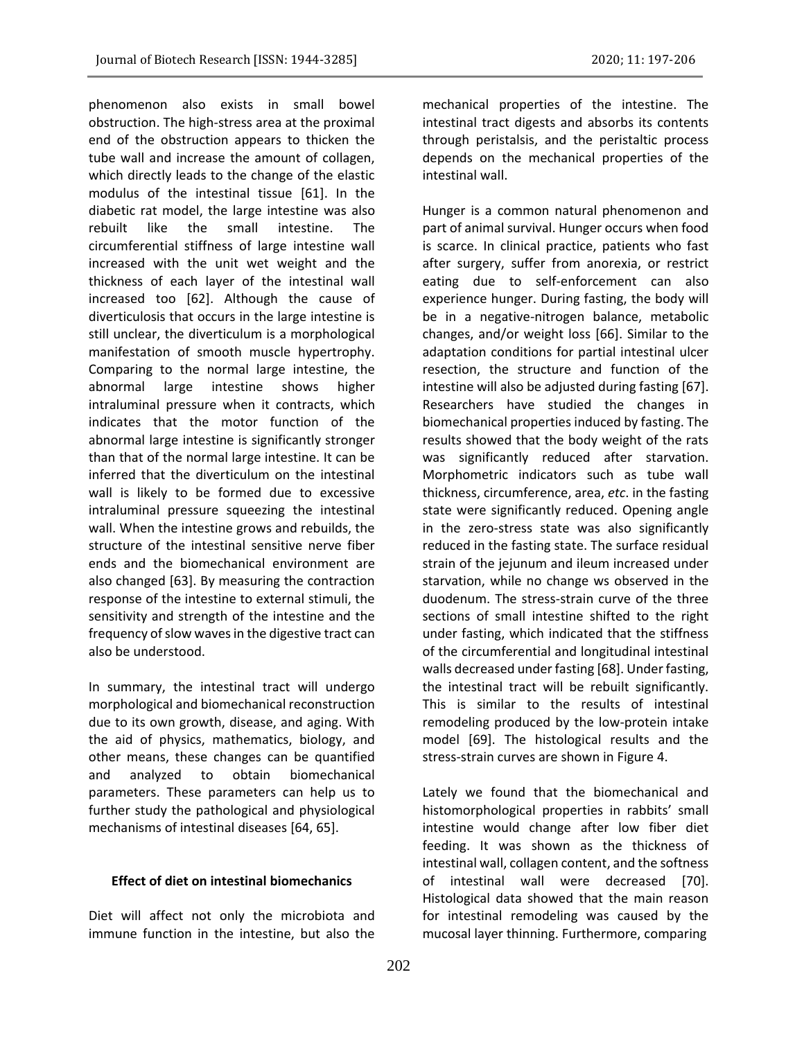phenomenon also exists in small bowel obstruction. The high-stress area at the proximal end of the obstruction appears to thicken the tube wall and increase the amount of collagen, which directly leads to the change of the elastic modulus of the intestinal tissue [61]. In the diabetic rat model, the large intestine was also rebuilt like the small intestine. The circumferential stiffness of large intestine wall increased with the unit wet weight and the thickness of each layer of the intestinal wall increased too [62]. Although the cause of diverticulosis that occurs in the large intestine is still unclear, the diverticulum is a morphological manifestation of smooth muscle hypertrophy. Comparing to the normal large intestine, the abnormal large intestine shows higher intraluminal pressure when it contracts, which indicates that the motor function of the abnormal large intestine is significantly stronger than that of the normal large intestine. It can be inferred that the diverticulum on the intestinal wall is likely to be formed due to excessive intraluminal pressure squeezing the intestinal wall. When the intestine grows and rebuilds, the structure of the intestinal sensitive nerve fiber ends and the biomechanical environment are also changed [63]. By measuring the contraction response of the intestine to external stimuli, the sensitivity and strength of the intestine and the frequency of slow waves in the digestive tract can also be understood.

In summary, the intestinal tract will undergo morphological and biomechanical reconstruction due to its own growth, disease, and aging. With the aid of physics, mathematics, biology, and other means, these changes can be quantified and analyzed to obtain biomechanical parameters. These parameters can help us to further study the pathological and physiological mechanisms of intestinal diseases [64, 65].

### **Effect of diet on intestinal biomechanics**

Diet will affect not only the microbiota and immune function in the intestine, but also the

mechanical properties of the intestine. The intestinal tract digests and absorbs its contents through peristalsis, and the peristaltic process depends on the mechanical properties of the intestinal wall.

Hunger is a common natural phenomenon and part of animal survival. Hunger occurs when food is scarce. In clinical practice, patients who fast after surgery, suffer from anorexia, or restrict eating due to self-enforcement can also experience hunger. During fasting, the body will be in a negative-nitrogen balance, metabolic changes, and/or weight loss [66]. Similar to the adaptation conditions for partial intestinal ulcer resection, the structure and function of the intestine will also be adjusted during fasting [67]. Researchers have studied the changes in biomechanical properties induced by fasting. The results showed that the body weight of the rats was significantly reduced after starvation. Morphometric indicators such as tube wall thickness, circumference, area, *etc*. in the fasting state were significantly reduced. Opening angle in the zero-stress state was also significantly reduced in the fasting state. The surface residual strain of the jejunum and ileum increased under starvation, while no change ws observed in the duodenum. The stress-strain curve of the three sections of small intestine shifted to the right under fasting, which indicated that the stiffness of the circumferential and longitudinal intestinal walls decreased under fasting [68]. Under fasting, the intestinal tract will be rebuilt significantly. This is similar to the results of intestinal remodeling produced by the low-protein intake model [69]. The histological results and the stress-strain curves are shown in Figure 4.

Lately we found that the biomechanical and histomorphological properties in rabbits' small intestine would change after low fiber diet feeding. It was shown as the thickness of intestinal wall, collagen content, and the softness of intestinal wall were decreased [70]. Histological data showed that the main reason for intestinal remodeling was caused by the mucosal layer thinning. Furthermore, comparing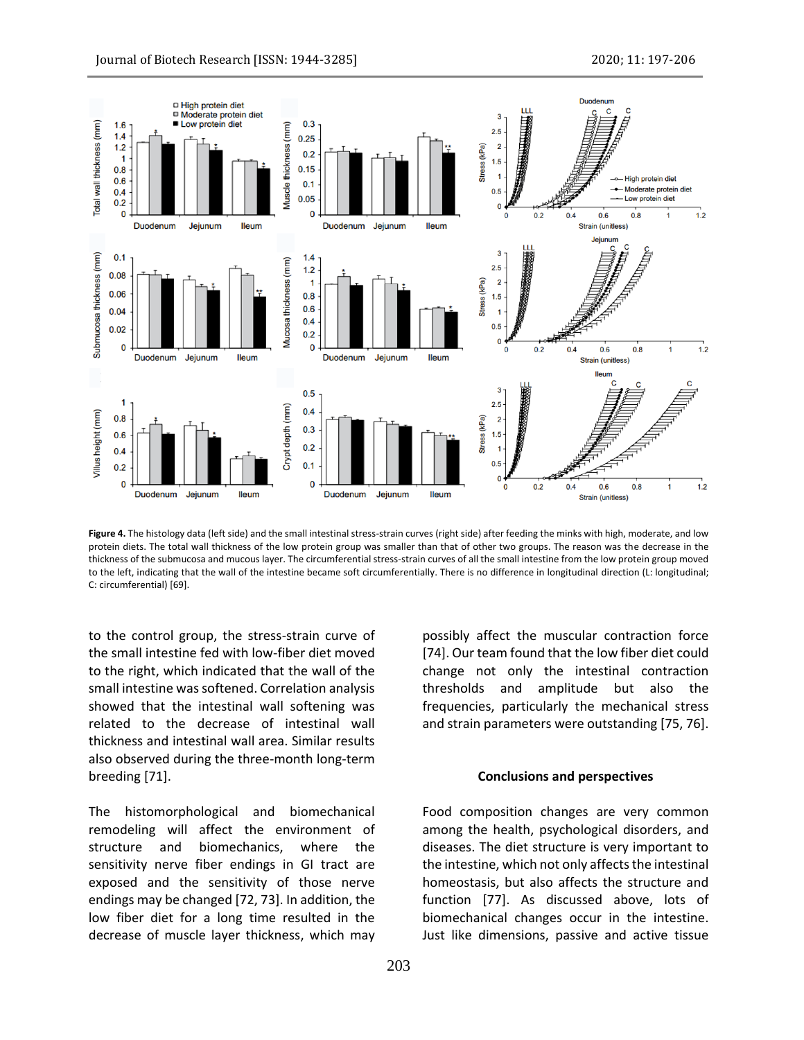

**Figure 4.** The histology data (left side) and the small intestinal stress-strain curves (right side) after feeding the minks with high, moderate, and low protein diets. The total wall thickness of the low protein group was smaller than that of other two groups. The reason was the decrease in the thickness of the submucosa and mucous layer. The circumferential stress-strain curves of all the small intestine from the low protein group moved to the left, indicating that the wall of the intestine became soft circumferentially. There is no difference in longitudinal direction (L: longitudinal; C: circumferential) [69].

to the control group, the stress-strain curve of the small intestine fed with low-fiber diet moved to the right, which indicated that the wall of the small intestine was softened. Correlation analysis showed that the intestinal wall softening was related to the decrease of intestinal wall thickness and intestinal wall area. Similar results also observed during the three-month long-term breeding [71].

The histomorphological and biomechanical remodeling will affect the environment of structure and biomechanics, where the sensitivity nerve fiber endings in GI tract are exposed and the sensitivity of those nerve endings may be changed [72, 73]. In addition, the low fiber diet for a long time resulted in the decrease of muscle layer thickness, which may

possibly affect the muscular contraction force [74]. Our team found that the low fiber diet could change not only the intestinal contraction thresholds and amplitude but also the frequencies, particularly the mechanical stress and strain parameters were outstanding [75, 76].

#### **Conclusions and perspectives**

Food composition changes are very common among the health, psychological disorders, and diseases. The diet structure is very important to the intestine, which not only affects the intestinal homeostasis, but also affects the structure and function [77]. As discussed above, lots of biomechanical changes occur in the intestine. Just like dimensions, passive and active tissue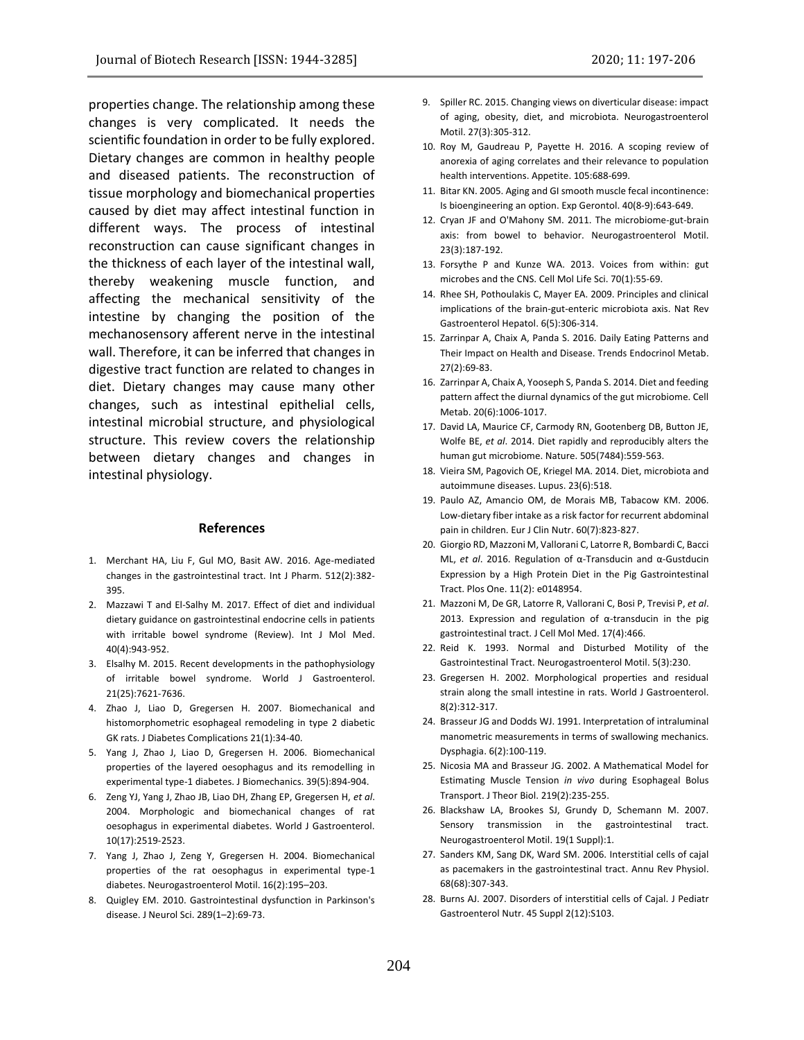properties change. The relationship among these changes is very complicated. It needs the scientific foundation in order to be fully explored. Dietary changes are common in healthy people and diseased patients. The reconstruction of tissue morphology and biomechanical properties caused by diet may affect intestinal function in different ways. The process of intestinal reconstruction can cause significant changes in the thickness of each layer of the intestinal wall, thereby weakening muscle function, and affecting the mechanical sensitivity of the intestine by changing the position of the mechanosensory afferent nerve in the intestinal wall. Therefore, it can be inferred that changes in digestive tract function are related to changes in diet. Dietary changes may cause many other changes, such as intestinal epithelial cells, intestinal microbial structure, and physiological structure. This review covers the relationship between dietary changes and changes in intestinal physiology.

#### **References**

- 1. Merchant HA, Liu F, Gul MO, Basit AW. 2016. Age-mediated changes in the gastrointestinal tract. Int J Pharm. 512(2):382- 395.
- 2. Mazzawi T and El-Salhy M. 2017. Effect of diet and individual dietary guidance on gastrointestinal endocrine cells in patients with irritable bowel syndrome (Review). Int J Mol Med. 40(4):943-952.
- 3. Elsalhy M. 2015. Recent developments in the pathophysiology of irritable bowel syndrome. World J Gastroenterol. 21(25):7621-7636.
- 4. Zhao J, Liao D, Gregersen H. 2007. Biomechanical and histomorphometric esophageal remodeling in type 2 diabetic GK rats. J Diabetes Complications 21(1):34-40.
- 5. Yang J, Zhao J, Liao D, Gregersen H. 2006. Biomechanical properties of the layered oesophagus and its remodelling in experimental type-1 diabetes. J Biomechanics. 39(5):894-904.
- 6. Zeng YJ, Yang J, Zhao JB, Liao DH, Zhang EP, Gregersen H, *et al*. 2004. Morphologic and biomechanical changes of rat oesophagus in experimental diabetes. World J Gastroenterol. 10(17):2519-2523.
- 7. Yang J, Zhao J, Zeng Y, Gregersen H. 2004. Biomechanical properties of the rat oesophagus in experimental type-1 diabetes. Neurogastroenterol Motil. 16(2):195–203.
- 8. Quigley EM. 2010. Gastrointestinal dysfunction in Parkinson's disease. J Neurol Sci. 289(1–2):69-73.
- 9. Spiller RC. 2015. Changing views on diverticular disease: impact of aging, obesity, diet, and microbiota. Neurogastroenterol Motil. 27(3):305-312.
- 10. Roy M, Gaudreau P, Payette H. 2016. A scoping review of anorexia of aging correlates and their relevance to population health interventions. Appetite. 105:688-699.
- 11. Bitar KN. 2005. Aging and GI smooth muscle fecal incontinence: Is bioengineering an option. Exp Gerontol. 40(8-9):643-649.
- 12. Cryan JF and O'Mahony SM. 2011. The microbiome-gut-brain axis: from bowel to behavior. Neurogastroenterol Motil. 23(3):187-192.
- 13. Forsythe P and Kunze WA. 2013. Voices from within: gut microbes and the CNS. Cell Mol Life Sci. 70(1):55-69.
- 14. Rhee SH, Pothoulakis C, Mayer EA. 2009. Principles and clinical implications of the brain-gut-enteric microbiota axis. Nat Rev Gastroenterol Hepatol. 6(5):306-314.
- 15. Zarrinpar A, Chaix A, Panda S. 2016. Daily Eating Patterns and Their Impact on Health and Disease. Trends Endocrinol Metab. 27(2):69-83.
- 16. Zarrinpar A, Chaix A, Yooseph S, Panda S. 2014. Diet and feeding pattern affect the diurnal dynamics of the gut microbiome. Cell Metab. 20(6):1006-1017.
- 17. David LA, Maurice CF, Carmody RN, Gootenberg DB, Button JE, Wolfe BE, *et al*. 2014. Diet rapidly and reproducibly alters the human gut microbiome. Nature. 505(7484):559-563.
- 18. Vieira SM, Pagovich OE, Kriegel MA. 2014. Diet, microbiota and autoimmune diseases. Lupus. 23(6):518.
- 19. Paulo AZ, Amancio OM, de Morais MB, Tabacow KM. 2006. Low-dietary fiber intake as a risk factor for recurrent abdominal pain in children. Eur J Clin Nutr. 60(7):823-827.
- 20. Giorgio RD, Mazzoni M, Vallorani C, Latorre R, Bombardi C, Bacci ML, *et al*. 2016. Regulation of α-Transducin and α-Gustducin Expression by a High Protein Diet in the Pig Gastrointestinal Tract. Plos One. 11(2): e0148954.
- 21. Mazzoni M, De GR, Latorre R, Vallorani C, Bosi P, Trevisi P, *et al*. 2013. Expression and regulation of α-transducin in the pig gastrointestinal tract. J Cell Mol Med. 17(4):466.
- 22. Reid K. 1993. Normal and Disturbed Motility of the Gastrointestinal Tract. Neurogastroenterol Motil. 5(3):230.
- 23. Gregersen H. 2002. Morphological properties and residual strain along the small intestine in rats. World J Gastroenterol. 8(2):312-317.
- 24. Brasseur JG and Dodds WJ. 1991. Interpretation of intraluminal manometric measurements in terms of swallowing mechanics. Dysphagia. 6(2):100-119.
- 25. Nicosia MA and Brasseur JG. 2002. A Mathematical Model for Estimating Muscle Tension *in vivo* during Esophageal Bolus Transport. J Theor Biol. 219(2):235-255.
- 26. Blackshaw LA, Brookes SJ, Grundy D, Schemann M. 2007. Sensory transmission in the gastrointestinal tract. Neurogastroenterol Motil. 19(1 Suppl):1.
- 27. Sanders KM, Sang DK, Ward SM. 2006. Interstitial cells of cajal as pacemakers in the gastrointestinal tract. Annu Rev Physiol. 68(68):307-343.
- 28. Burns AJ. 2007. Disorders of interstitial cells of Cajal. J Pediatr Gastroenterol Nutr. 45 Suppl 2(12):S103.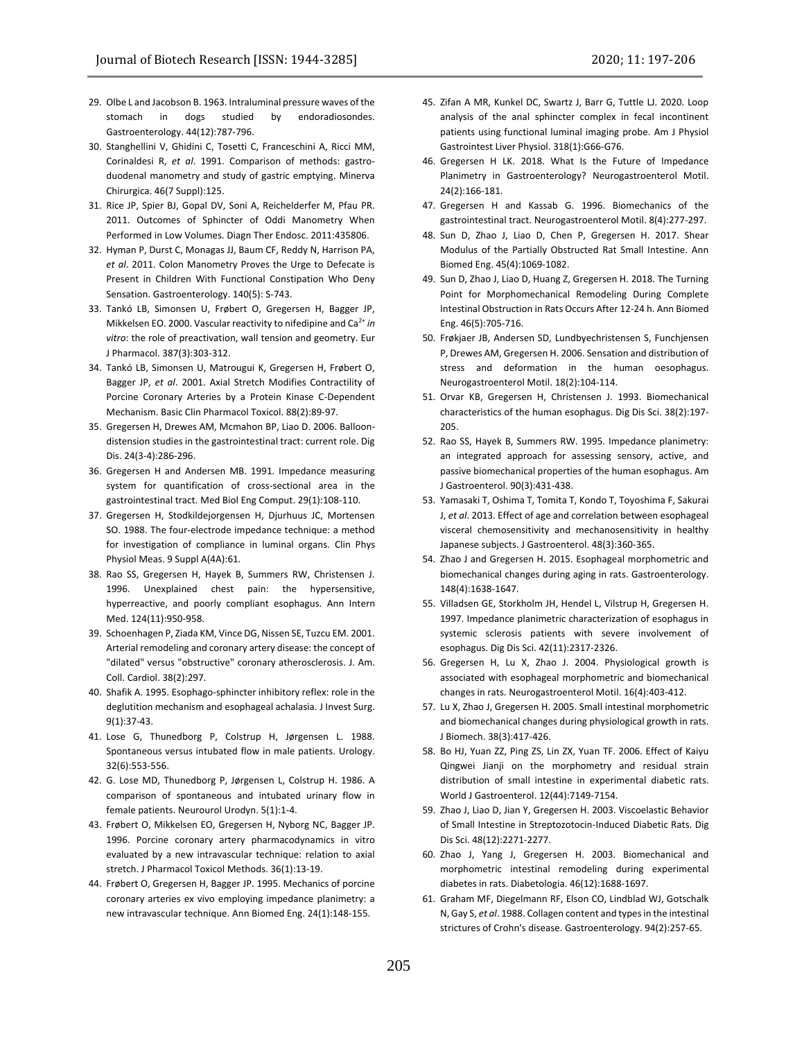- 29. Olbe L and Jacobson B. 1963. Intraluminal pressure waves of the stomach in dogs studied by endoradiosondes. Gastroenterology. 44(12):787-796.
- 30. Stanghellini V, Ghidini C, Tosetti C, Franceschini A, Ricci MM, Corinaldesi R, *et al*. 1991. Comparison of methods: gastroduodenal manometry and study of gastric emptying. Minerva Chirurgica. 46(7 Suppl):125.
- 31. Rice JP, Spier BJ, Gopal DV, Soni A, Reichelderfer M, Pfau PR. 2011. Outcomes of Sphincter of Oddi Manometry When Performed in Low Volumes. Diagn Ther Endosc. 2011:435806.
- 32. Hyman P, Durst C, Monagas JJ, Baum CF, Reddy N, Harrison PA, *et al*. 2011. Colon Manometry Proves the Urge to Defecate is Present in Children With Functional Constipation Who Deny Sensation. Gastroenterology. 140(5): S-743.
- 33. Tankó LB, Simonsen U, Frøbert O, Gregersen H, Bagger JP, Mikkelsen EO. 2000. Vascular reactivity to nifedipine and Ca<sup>2+</sup> in *vitro*: the role of preactivation, wall tension and geometry. Eur J Pharmacol. 387(3):303-312.
- 34. Tankó LB, Simonsen U, Matrougui K, Gregersen H, Frøbert O, Bagger JP, *et al*. 2001. Axial Stretch Modifies Contractility of Porcine Coronary Arteries by a Protein Kinase C-Dependent Mechanism. Basic Clin Pharmacol Toxicol. 88(2):89-97.
- 35. Gregersen H, Drewes AM, Mcmahon BP, Liao D. 2006. Balloondistension studies in the gastrointestinal tract: current role. Dig Dis. 24(3-4):286-296.
- 36. Gregersen H and Andersen MB. 1991. Impedance measuring system for quantification of cross-sectional area in the gastrointestinal tract. Med Biol Eng Comput. 29(1):108-110.
- 37. Gregersen H, Stodkildejorgensen H, Djurhuus JC, Mortensen SO. 1988. The four-electrode impedance technique: a method for investigation of compliance in luminal organs. Clin Phys Physiol Meas. 9 Suppl A(4A):61.
- 38. Rao SS, Gregersen H, Hayek B, Summers RW, Christensen J. 1996. Unexplained chest pain: the hypersensitive, hyperreactive, and poorly compliant esophagus. Ann Intern Med. 124(11):950-958.
- 39. Schoenhagen P, Ziada KM, Vince DG, Nissen SE, Tuzcu EM. 2001. Arterial remodeling and coronary artery disease: the concept of "dilated" versus "obstructive" coronary atherosclerosis. J. Am. Coll. Cardiol. 38(2):297.
- 40. Shafik A. 1995. Esophago-sphincter inhibitory reflex: role in the deglutition mechanism and esophageal achalasia. J Invest Surg. 9(1):37-43.
- 41. Lose G, Thunedborg P, Colstrup H, Jørgensen L. 1988. Spontaneous versus intubated flow in male patients. Urology. 32(6):553-556.
- 42. G. Lose MD, Thunedborg P, Jørgensen L, Colstrup H. 1986. A comparison of spontaneous and intubated urinary flow in female patients. Neurourol Urodyn. 5(1):1-4.
- 43. Frøbert O, Mikkelsen EO, Gregersen H, Nyborg NC, Bagger JP. 1996. Porcine coronary artery pharmacodynamics in vitro evaluated by a new intravascular technique: relation to axial stretch. J Pharmacol Toxicol Methods. 36(1):13-19.
- 44. Frøbert O, Gregersen H, Bagger JP. 1995. Mechanics of porcine coronary arteries ex vivo employing impedance planimetry: a new intravascular technique. Ann Biomed Eng. 24(1):148-155.
- 45. Zifan A MR, Kunkel DC, Swartz J, Barr G, Tuttle LJ. 2020. Loop analysis of the anal sphincter complex in fecal incontinent patients using functional luminal imaging probe. Am J Physiol Gastrointest Liver Physiol. 318(1):G66-G76.
- 46. Gregersen H LK. 2018. What Is the Future of Impedance Planimetry in Gastroenterology? Neurogastroenterol Motil. 24(2):166-181.
- 47. Gregersen H and Kassab G. 1996. Biomechanics of the gastrointestinal tract. Neurogastroenterol Motil. 8(4):277-297.
- 48. Sun D, Zhao J, Liao D, Chen P, Gregersen H. 2017. Shear Modulus of the Partially Obstructed Rat Small Intestine. Ann Biomed Eng. 45(4):1069-1082.
- 49. Sun D, Zhao J, Liao D, Huang Z, Gregersen H. 2018. The Turning Point for Morphomechanical Remodeling During Complete Intestinal Obstruction in Rats Occurs After 12-24 h. Ann Biomed Eng. 46(5):705-716.
- 50. Frøkjaer JB, Andersen SD, Lundbyechristensen S, Funchjensen P, Drewes AM, Gregersen H. 2006. Sensation and distribution of stress and deformation in the human oesophagus. Neurogastroenterol Motil. 18(2):104-114.
- 51. Orvar KB, Gregersen H, Christensen J. 1993. Biomechanical characteristics of the human esophagus. Dig Dis Sci. 38(2):197- 205.
- 52. Rao SS, Hayek B, Summers RW. 1995. Impedance planimetry: an integrated approach for assessing sensory, active, and passive biomechanical properties of the human esophagus. Am J Gastroenterol. 90(3):431-438.
- 53. Yamasaki T, Oshima T, Tomita T, Kondo T, Toyoshima F, Sakurai J, *et al*. 2013. Effect of age and correlation between esophageal visceral chemosensitivity and mechanosensitivity in healthy Japanese subjects. J Gastroenterol. 48(3):360-365.
- 54. Zhao J and Gregersen H. 2015. Esophageal morphometric and biomechanical changes during aging in rats. Gastroenterology. 148(4):1638-1647.
- 55. Villadsen GE, Storkholm JH, Hendel L, Vilstrup H, Gregersen H. 1997. Impedance planimetric characterization of esophagus in systemic sclerosis patients with severe involvement of esophagus. Dig Dis Sci. 42(11):2317-2326.
- 56. Gregersen H, Lu X, Zhao J. 2004. Physiological growth is associated with esophageal morphometric and biomechanical changes in rats. Neurogastroenterol Motil. 16(4):403-412.
- 57. Lu X, Zhao J, Gregersen H. 2005. Small intestinal morphometric and biomechanical changes during physiological growth in rats. J Biomech. 38(3):417-426.
- 58. Bo HJ, Yuan ZZ, Ping ZS, Lin ZX, Yuan TF. 2006. Effect of Kaiyu Qingwei Jianji on the morphometry and residual strain distribution of small intestine in experimental diabetic rats. World J Gastroenterol. 12(44):7149-7154.
- 59. Zhao J, Liao D, Jian Y, Gregersen H. 2003. Viscoelastic Behavior of Small Intestine in Streptozotocin-Induced Diabetic Rats. Dig Dis Sci. 48(12):2271-2277.
- 60. Zhao J, Yang J, Gregersen H. 2003. Biomechanical and morphometric intestinal remodeling during experimental diabetes in rats. Diabetologia. 46(12):1688-1697.
- 61. Graham MF, Diegelmann RF, Elson CO, Lindblad WJ, Gotschalk N, Gay S, *et al*. 1988. Collagen content and types in the intestinal strictures of Crohn's disease. Gastroenterology. 94(2):257-65.